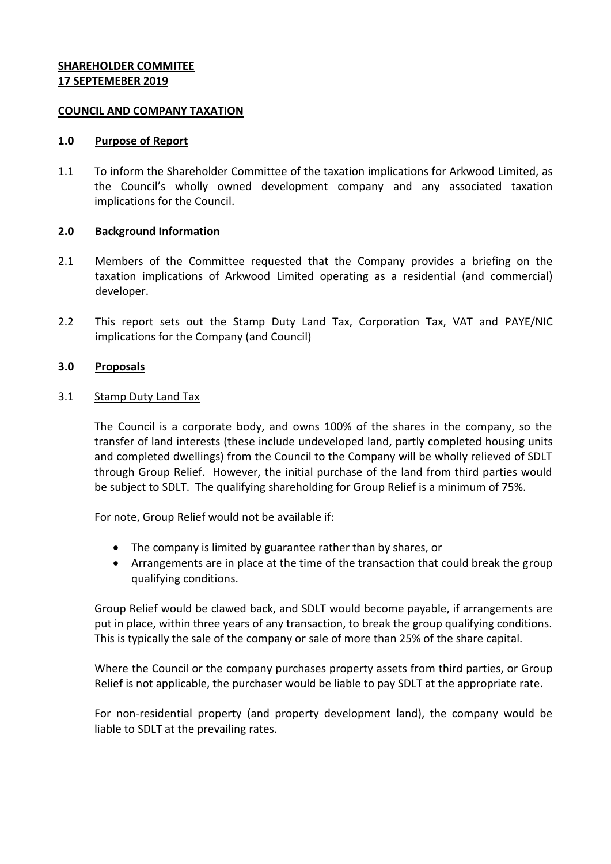## **SHAREHOLDER COMMITEE 17 SEPTEMEBER 2019**

### **COUNCIL AND COMPANY TAXATION**

#### **1.0 Purpose of Report**

1.1 To inform the Shareholder Committee of the taxation implications for Arkwood Limited, as the Council's wholly owned development company and any associated taxation implications for the Council.

### **2.0 Background Information**

- 2.1 Members of the Committee requested that the Company provides a briefing on the taxation implications of Arkwood Limited operating as a residential (and commercial) developer.
- 2.2 This report sets out the Stamp Duty Land Tax, Corporation Tax, VAT and PAYE/NIC implications for the Company (and Council)

### **3.0 Proposals**

#### 3.1 Stamp Duty Land Tax

The Council is a corporate body, and owns 100% of the shares in the company, so the transfer of land interests (these include undeveloped land, partly completed housing units and completed dwellings) from the Council to the Company will be wholly relieved of SDLT through Group Relief. However, the initial purchase of the land from third parties would be subject to SDLT. The qualifying shareholding for Group Relief is a minimum of 75%.

For note, Group Relief would not be available if:

- The company is limited by guarantee rather than by shares, or
- Arrangements are in place at the time of the transaction that could break the group qualifying conditions.

Group Relief would be clawed back, and SDLT would become payable, if arrangements are put in place, within three years of any transaction, to break the group qualifying conditions. This is typically the sale of the company or sale of more than 25% of the share capital.

Where the Council or the company purchases property assets from third parties, or Group Relief is not applicable, the purchaser would be liable to pay SDLT at the appropriate rate.

For non-residential property (and property development land), the company would be liable to SDLT at the prevailing rates.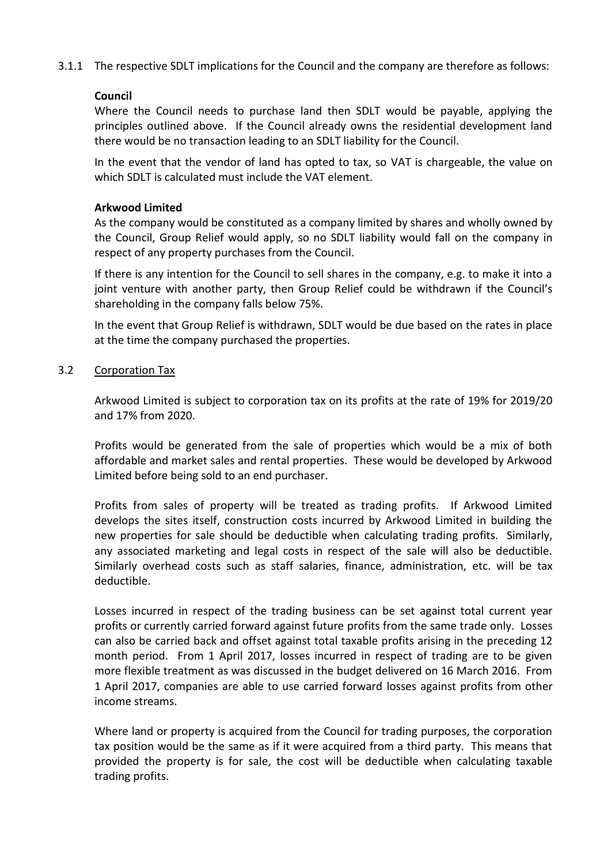3.1.1 The respective SDLT implications for the Council and the company are therefore as follows:

# **Council**

Where the Council needs to purchase land then SDLT would be payable, applying the principles outlined above. If the Council already owns the residential development land there would be no transaction leading to an SDLT liability for the Council.

In the event that the vendor of land has opted to tax, so VAT is chargeable, the value on which SDLT is calculated must include the VAT element.

## **Arkwood Limited**

As the company would be constituted as a company limited by shares and wholly owned by the Council, Group Relief would apply, so no SDLT liability would fall on the company in respect of any property purchases from the Council.

If there is any intention for the Council to sell shares in the company, e.g. to make it into a joint venture with another party, then Group Relief could be withdrawn if the Council's shareholding in the company falls below 75%.

In the event that Group Relief is withdrawn, SDLT would be due based on the rates in place at the time the company purchased the properties.

# 3.2 Corporation Tax

Arkwood Limited is subject to corporation tax on its profits at the rate of 19% for 2019/20 and 17% from 2020.

Profits would be generated from the sale of properties which would be a mix of both affordable and market sales and rental properties. These would be developed by Arkwood Limited before being sold to an end purchaser.

Profits from sales of property will be treated as trading profits. If Arkwood Limited develops the sites itself, construction costs incurred by Arkwood Limited in building the new properties for sale should be deductible when calculating trading profits. Similarly, any associated marketing and legal costs in respect of the sale will also be deductible. Similarly overhead costs such as staff salaries, finance, administration, etc. will be tax deductible.

Losses incurred in respect of the trading business can be set against total current year profits or currently carried forward against future profits from the same trade only. Losses can also be carried back and offset against total taxable profits arising in the preceding 12 month period. From 1 April 2017, losses incurred in respect of trading are to be given more flexible treatment as was discussed in the budget delivered on 16 March 2016. From 1 April 2017, companies are able to use carried forward losses against profits from other income streams.

Where land or property is acquired from the Council for trading purposes, the corporation tax position would be the same as if it were acquired from a third party. This means that provided the property is for sale, the cost will be deductible when calculating taxable trading profits.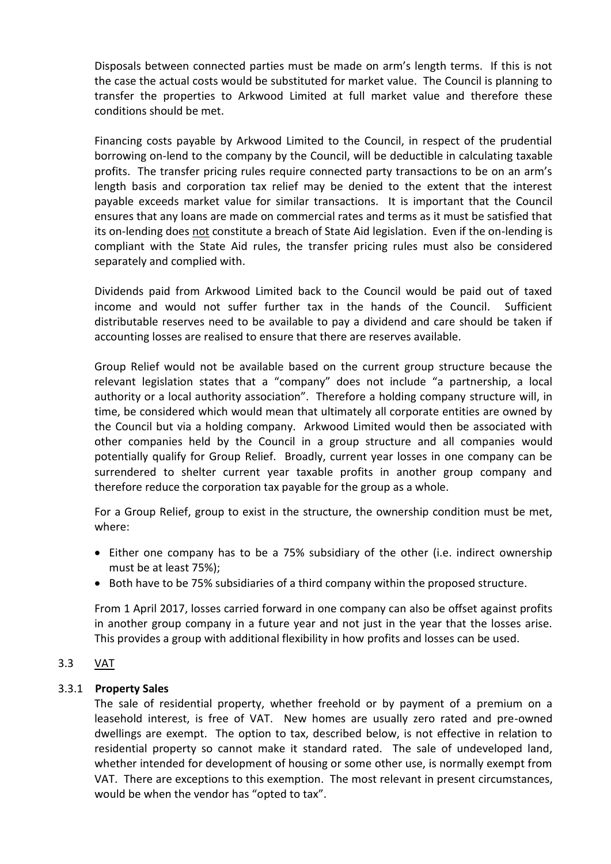Disposals between connected parties must be made on arm's length terms. If this is not the case the actual costs would be substituted for market value. The Council is planning to transfer the properties to Arkwood Limited at full market value and therefore these conditions should be met.

Financing costs payable by Arkwood Limited to the Council, in respect of the prudential borrowing on-lend to the company by the Council, will be deductible in calculating taxable profits. The transfer pricing rules require connected party transactions to be on an arm's length basis and corporation tax relief may be denied to the extent that the interest payable exceeds market value for similar transactions. It is important that the Council ensures that any loans are made on commercial rates and terms as it must be satisfied that its on-lending does not constitute a breach of State Aid legislation. Even if the on-lending is compliant with the State Aid rules, the transfer pricing rules must also be considered separately and complied with.

Dividends paid from Arkwood Limited back to the Council would be paid out of taxed income and would not suffer further tax in the hands of the Council. Sufficient distributable reserves need to be available to pay a dividend and care should be taken if accounting losses are realised to ensure that there are reserves available.

Group Relief would not be available based on the current group structure because the relevant legislation states that a "company" does not include "a partnership, a local authority or a local authority association". Therefore a holding company structure will, in time, be considered which would mean that ultimately all corporate entities are owned by the Council but via a holding company. Arkwood Limited would then be associated with other companies held by the Council in a group structure and all companies would potentially qualify for Group Relief. Broadly, current year losses in one company can be surrendered to shelter current year taxable profits in another group company and therefore reduce the corporation tax payable for the group as a whole.

For a Group Relief, group to exist in the structure, the ownership condition must be met, where:

- Either one company has to be a 75% subsidiary of the other (i.e. indirect ownership must be at least 75%);
- Both have to be 75% subsidiaries of a third company within the proposed structure.

From 1 April 2017, losses carried forward in one company can also be offset against profits in another group company in a future year and not just in the year that the losses arise. This provides a group with additional flexibility in how profits and losses can be used.

# 3.3 VAT

### 3.3.1 **Property Sales**

The sale of residential property, whether freehold or by payment of a premium on a leasehold interest, is free of VAT. New homes are usually zero rated and pre-owned dwellings are exempt. The option to tax, described below, is not effective in relation to residential property so cannot make it standard rated. The sale of undeveloped land, whether intended for development of housing or some other use, is normally exempt from VAT. There are exceptions to this exemption. The most relevant in present circumstances, would be when the vendor has "opted to tax".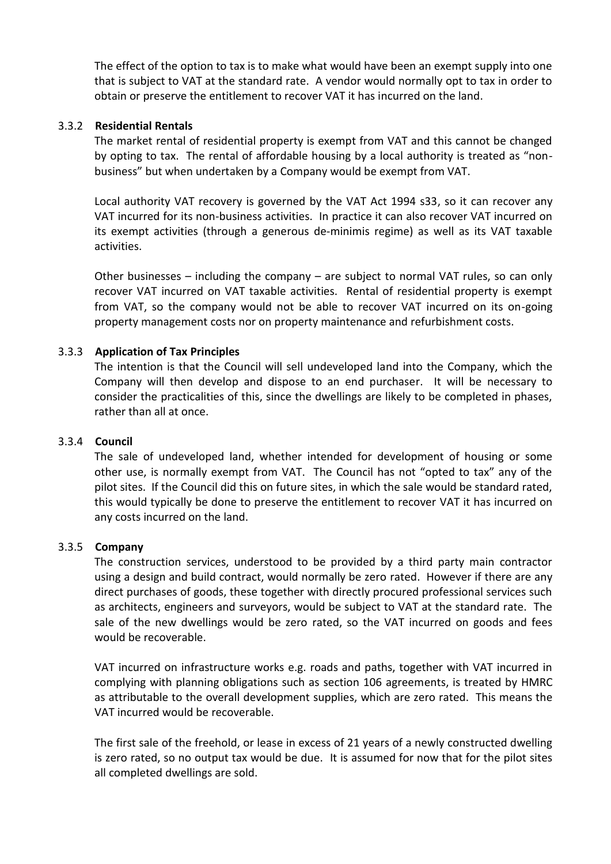The effect of the option to tax is to make what would have been an exempt supply into one that is subject to VAT at the standard rate. A vendor would normally opt to tax in order to obtain or preserve the entitlement to recover VAT it has incurred on the land.

### 3.3.2 **Residential Rentals**

The market rental of residential property is exempt from VAT and this cannot be changed by opting to tax. The rental of affordable housing by a local authority is treated as "nonbusiness" but when undertaken by a Company would be exempt from VAT.

Local authority VAT recovery is governed by the VAT Act 1994 s33, so it can recover any VAT incurred for its non-business activities. In practice it can also recover VAT incurred on its exempt activities (through a generous de-minimis regime) as well as its VAT taxable activities.

Other businesses – including the company – are subject to normal VAT rules, so can only recover VAT incurred on VAT taxable activities. Rental of residential property is exempt from VAT, so the company would not be able to recover VAT incurred on its on-going property management costs nor on property maintenance and refurbishment costs.

### 3.3.3 **Application of Tax Principles**

The intention is that the Council will sell undeveloped land into the Company, which the Company will then develop and dispose to an end purchaser. It will be necessary to consider the practicalities of this, since the dwellings are likely to be completed in phases, rather than all at once.

#### 3.3.4 **Council**

The sale of undeveloped land, whether intended for development of housing or some other use, is normally exempt from VAT. The Council has not "opted to tax" any of the pilot sites. If the Council did this on future sites, in which the sale would be standard rated, this would typically be done to preserve the entitlement to recover VAT it has incurred on any costs incurred on the land.

#### 3.3.5 **Company**

The construction services, understood to be provided by a third party main contractor using a design and build contract, would normally be zero rated. However if there are any direct purchases of goods, these together with directly procured professional services such as architects, engineers and surveyors, would be subject to VAT at the standard rate. The sale of the new dwellings would be zero rated, so the VAT incurred on goods and fees would be recoverable.

VAT incurred on infrastructure works e.g. roads and paths, together with VAT incurred in complying with planning obligations such as section 106 agreements, is treated by HMRC as attributable to the overall development supplies, which are zero rated. This means the VAT incurred would be recoverable.

The first sale of the freehold, or lease in excess of 21 years of a newly constructed dwelling is zero rated, so no output tax would be due. It is assumed for now that for the pilot sites all completed dwellings are sold.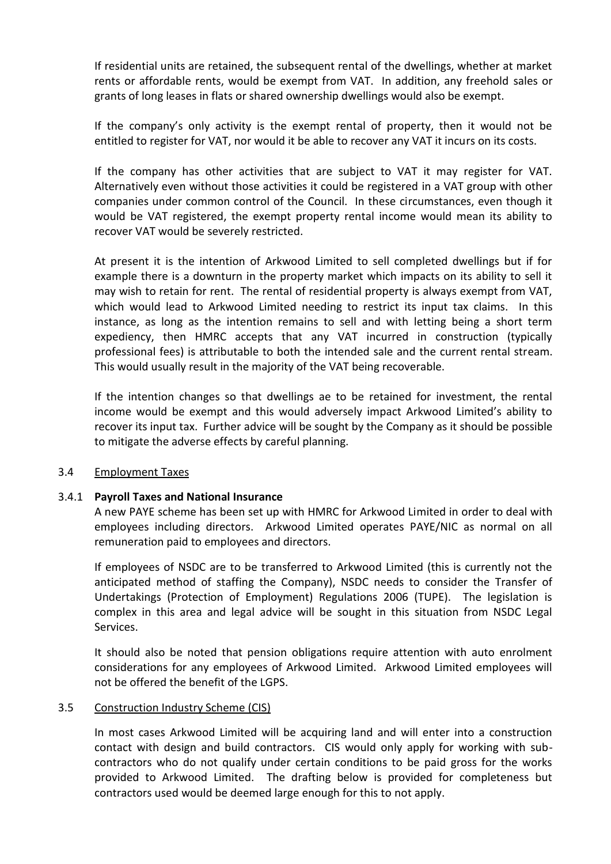If residential units are retained, the subsequent rental of the dwellings, whether at market rents or affordable rents, would be exempt from VAT. In addition, any freehold sales or grants of long leases in flats or shared ownership dwellings would also be exempt.

If the company's only activity is the exempt rental of property, then it would not be entitled to register for VAT, nor would it be able to recover any VAT it incurs on its costs.

If the company has other activities that are subject to VAT it may register for VAT. Alternatively even without those activities it could be registered in a VAT group with other companies under common control of the Council. In these circumstances, even though it would be VAT registered, the exempt property rental income would mean its ability to recover VAT would be severely restricted.

At present it is the intention of Arkwood Limited to sell completed dwellings but if for example there is a downturn in the property market which impacts on its ability to sell it may wish to retain for rent. The rental of residential property is always exempt from VAT, which would lead to Arkwood Limited needing to restrict its input tax claims. In this instance, as long as the intention remains to sell and with letting being a short term expediency, then HMRC accepts that any VAT incurred in construction (typically professional fees) is attributable to both the intended sale and the current rental stream. This would usually result in the majority of the VAT being recoverable.

If the intention changes so that dwellings ae to be retained for investment, the rental income would be exempt and this would adversely impact Arkwood Limited's ability to recover its input tax. Further advice will be sought by the Company as it should be possible to mitigate the adverse effects by careful planning.

### 3.4 Employment Taxes

### 3.4.1 **Payroll Taxes and National Insurance**

A new PAYE scheme has been set up with HMRC for Arkwood Limited in order to deal with employees including directors. Arkwood Limited operates PAYE/NIC as normal on all remuneration paid to employees and directors.

If employees of NSDC are to be transferred to Arkwood Limited (this is currently not the anticipated method of staffing the Company), NSDC needs to consider the Transfer of Undertakings (Protection of Employment) Regulations 2006 (TUPE). The legislation is complex in this area and legal advice will be sought in this situation from NSDC Legal Services.

It should also be noted that pension obligations require attention with auto enrolment considerations for any employees of Arkwood Limited. Arkwood Limited employees will not be offered the benefit of the LGPS.

#### 3.5 Construction Industry Scheme (CIS)

In most cases Arkwood Limited will be acquiring land and will enter into a construction contact with design and build contractors. CIS would only apply for working with subcontractors who do not qualify under certain conditions to be paid gross for the works provided to Arkwood Limited. The drafting below is provided for completeness but contractors used would be deemed large enough for this to not apply.